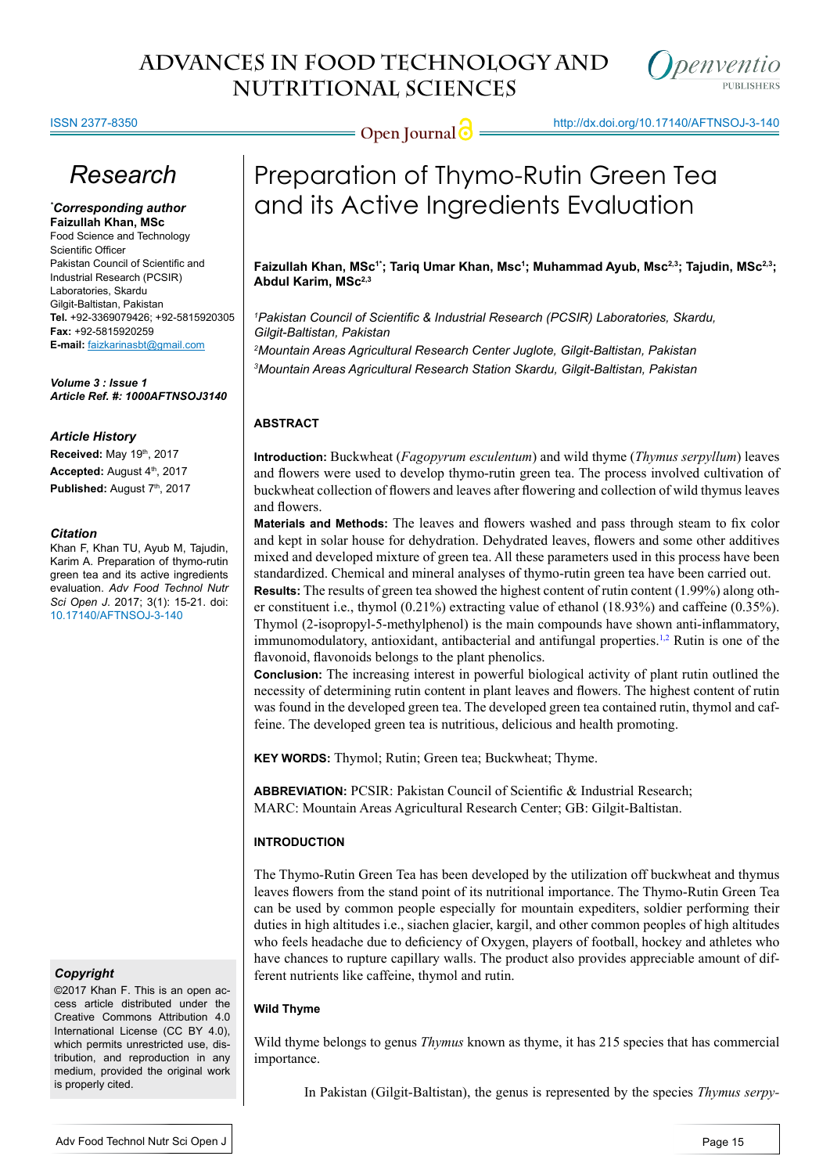

ISSN 2377-8350

**Open Journal @** http://dx.doi.org/10.17140/AFTNSOJ-3-140

# *Research*

*\* Corresponding author* **Faizullah Khan, MSc** Food Science and Technology

Scientific Officer Pakistan Council of Scientific and Industrial Research (PCSIR) Laboratories, Skardu Gilgit-Baltistan, Pakistan **Tel.** +92-3369079426; +92-5815920305 **Fax:** +92-5815920259 **E-mail:** faizkarinasbt@gmail.com

*Volume 3 : Issue 1 Article Ref. #: 1000AFTNSOJ3140*

#### *Article History*

**Received:** May 19th, 2017 Accepted: August 4<sup>th</sup>, 2017 Published: August 7th, 2017

#### *Citation*

Khan F, Khan TU, Ayub M, Tajudin, Karim A. Preparation of thymo-rutin green tea and its active ingredients evaluation. *Adv Food Technol Nutr Sci Open J*. 2017; 3(1): 15-21. doi: [10.17140/AFTNSOJ-3-140](http://dx.doi.org/10.17140/AFTNSOJ-3-140)

## *Copyright*

©2017 Khan F. This is an open access article distributed under the Creative Commons Attribution 4.0 International License (CC BY 4.0), which permits unrestricted use, distribution, and reproduction in any medium, provided the original work is properly cited.

# Preparation of Thymo-Rutin Green Tea and its Active Ingredients Evaluation

Faizullah Khan, MSc<sup>1</sup>'; Tariq Umar Khan, Msc<sup>1</sup>; Muhammad Ayub, Msc<sup>2,3</sup>; Tajudin, MSc<sup>2,3</sup>; **Abdul Karim, MSc2,3**

*1 Pakistan Council of Scientific & Industrial Research (PCSIR) Laboratories, Skardu, Gilgit-Baltistan, Pakistan* 

*2 Mountain Areas Agricultural Research Center Juglote, Gilgit-Baltistan, Pakistan 3 Mountain Areas Agricultural Research Station Skardu, Gilgit-Baltistan, Pakistan* 

# **ABSTRACT**

**Introduction:** Buckwheat (*Fagopyrum esculentum*) and wild thyme (*Thymus serpyllum*) leaves and flowers were used to develop thymo-rutin green tea. The process involved cultivation of buckwheat collection of flowers and leaves after flowering and collection of wild thymus leaves and flowers.

**Materials and Methods:** The leaves and flowers washed and pass through steam to fix color and kept in solar house for dehydration. Dehydrated leaves, flowers and some other additives mixed and developed mixture of green tea. All these parameters used in this process have been standardized. Chemical and mineral analyses of thymo-rutin green tea have been carried out.

**Results:** The results of green tea showed the highest content of rutin content (1.99%) along other constituent i.e., thymol (0.21%) extracting value of ethanol (18.93%) and caffeine (0.35%). Thymol (2-isopropyl-5-methylphenol) is the main compounds have shown anti-inflammatory, immunomodulatory, antioxidant, antibacterial and antifungal properties.<sup>1,2</sup> Rutin is one of the flavonoid, flavonoids belongs to the plant phenolics.

**Conclusion:** The increasing interest in powerful biological activity of plant rutin outlined the necessity of determining rutin content in plant leaves and flowers. The highest content of rutin was found in the developed green tea. The developed green tea contained rutin, thymol and caffeine. The developed green tea is nutritious, delicious and health promoting.

**KEY WORDS:** Thymol; Rutin; Green tea; Buckwheat; Thyme.

**ABBREVIATION:** PCSIR: Pakistan Council of Scientific & Industrial Research; MARC: Mountain Areas Agricultural Research Center; GB: Gilgit-Baltistan.

# **INTRODUCTION**

The Thymo-Rutin Green Tea has been developed by the utilization off buckwheat and thymus leaves flowers from the stand point of its nutritional importance. The Thymo-Rutin Green Tea can be used by common people especially for mountain expediters, soldier performing their duties in high altitudes i.e., siachen glacier, kargil, and other common peoples of high altitudes who feels headache due to deficiency of Oxygen, players of football, hockey and athletes who have chances to rupture capillary walls. The product also provides appreciable amount of different nutrients like caffeine, thymol and rutin.

## **Wild Thyme**

Wild thyme belongs to genus *Thymus* known as thyme, it has 215 species that has commercial importance.

In Pakistan (Gilgit-Baltistan), the genus is represented by the species *Thymus serpy-*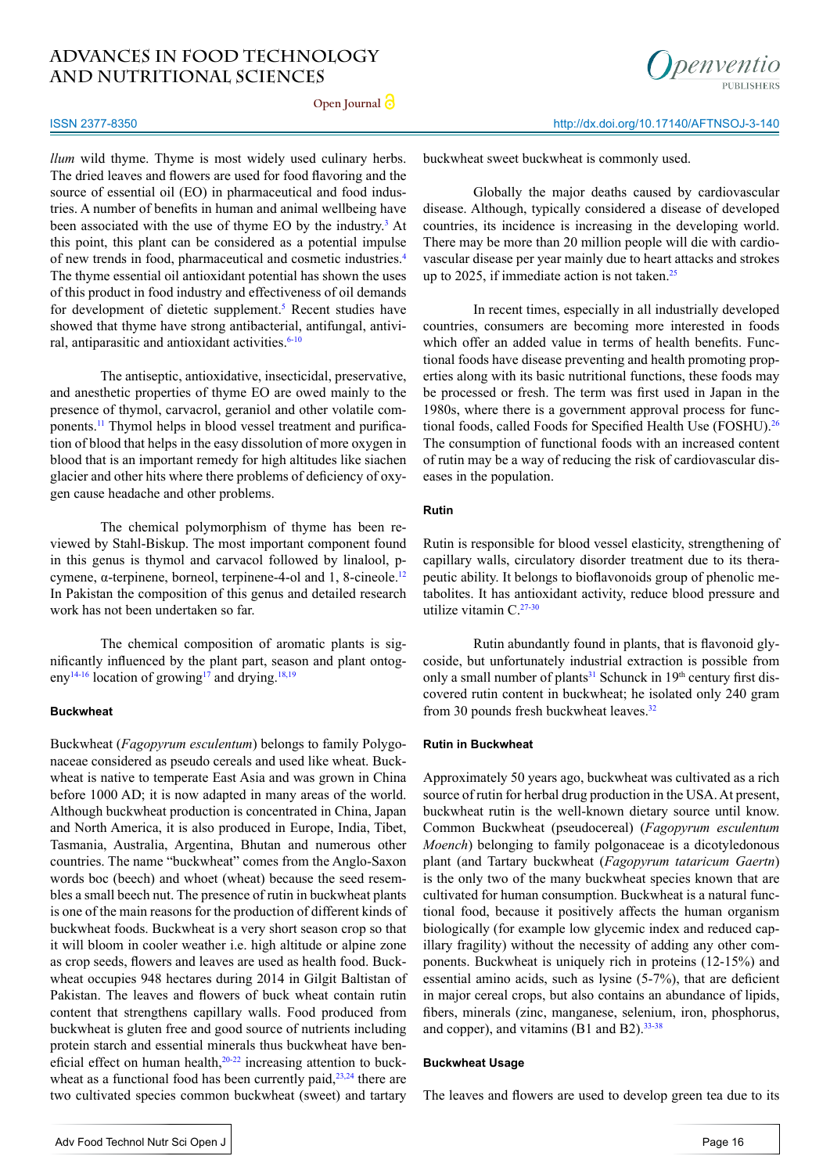**Open Journal**



#### http://dx.doi.org/10.17140/AFTNSOJ-3-140

*llum* wild thyme. Thyme is most widely used culinary herbs. The dried leaves and flowers are used for food flavoring and the source of essential oil (EO) in pharmaceutical and food industries. A number of benefits in human and animal wellbeing have been associated with the use of thyme EO by the industry.<sup>[3](#page-5-1)</sup> At this point, this plant can be considered as a potential impulse of new trends in food, pharmaceutical and cosmetic industries.[4](#page-5-2) The thyme essential oil antioxidant potential has shown the uses of this product in food industry and effectiveness of oil demands for development of dietetic supplement.<sup>5</sup> Recent studies have showed that thyme have strong antibacterial, antifungal, antivi-ral, antiparasitic and antioxidant activities.<sup>[6-10](#page-5-4)</sup>

The antiseptic, antioxidative, insecticidal, preservative, and anesthetic properties of thyme EO are owed mainly to the presence of thymol, carvacrol, geraniol and other volatile components.[11](#page-5-5) Thymol helps in blood vessel treatment and purification of blood that helps in the easy dissolution of more oxygen in blood that is an important remedy for high altitudes like siachen glacier and other hits where there problems of deficiency of oxygen cause headache and other problems.

The chemical polymorphism of thyme has been reviewed by Stahl-Biskup. The most important component found in this genus is thymol and carvacol followed by linalool, p-cymene, α-terpinene, borneol, terpinene-4-ol and 1, 8-cineole.<sup>[12](#page-5-6)</sup> In Pakistan the composition of this genus and detailed research work has not been undertaken so far.

The chemical composition of aromatic plants is significantly influenced by the plant part, season and plant ontog-eny<sup>[14-16](#page-5-7)</sup> location of growing<sup>17</sup> and drying.<sup>18,19</sup>

#### **Buckwheat**

ISSN 2377-8350

Buckwheat (*Fagopyrum esculentum*) belongs to family Polygonaceae considered as pseudo cereals and used like wheat. Buckwheat is native to temperate East Asia and was grown in China before 1000 AD; it is now adapted in many areas of the world. Although buckwheat production is concentrated in China, Japan and North America, it is also produced in Europe, India, Tibet, Tasmania, Australia, Argentina, Bhutan and numerous other countries. The name "buckwheat" comes from the Anglo-Saxon words boc (beech) and whoet (wheat) because the seed resembles a small beech nut. The presence of rutin in buckwheat plants is one of the main reasons for the production of different kinds of buckwheat foods. Buckwheat is a very short season crop so that it will bloom in cooler weather i.e. high altitude or alpine zone as crop seeds, flowers and leaves are used as health food. Buckwheat occupies 948 hectares during 2014 in Gilgit Baltistan of Pakistan. The leaves and flowers of buck wheat contain rutin content that strengthens capillary walls. Food produced from buckwheat is gluten free and good source of nutrients including protein starch and essential minerals thus buckwheat have beneficial effect on human health,<sup>20-22</sup> increasing attention to buckwheat as a functional food has been currently paid, $23,24$  there are two cultivated species common buckwheat (sweet) and tartary

Globally the major deaths caused by cardiovascular disease. Although, typically considered a disease of developed countries, its incidence is increasing in the developing world. There may be more than 20 million people will die with cardiovascular disease per year mainly due to heart attacks and strokes up to 2025, if immediate action is not taken. $25$ 

In recent times, especially in all industrially developed countries, consumers are becoming more interested in foods which offer an added value in terms of health benefits. Functional foods have disease preventing and health promoting properties along with its basic nutritional functions, these foods may be processed or fresh. The term was first used in Japan in the 1980s, where there is a government approval process for functional foods, called Foods for Specified Health Use (FOSHU).<sup>26</sup> The consumption of functional foods with an increased content of rutin may be a way of reducing the risk of cardiovascular diseases in the population.

## **Rutin**

Rutin is responsible for blood vessel elasticity, strengthening of capillary walls, circulatory disorder treatment due to its therapeutic ability. It belongs to bioflavonoids group of phenolic metabolites. It has antioxidant activity, reduce blood pressure and utilize vitamin C.<sup>27-30</sup>

Rutin abundantly found in plants, that is flavonoid glycoside, but unfortunately industrial extraction is possible from only a small number of plants<sup>31</sup> Schunck in  $19<sup>th</sup>$  century first discovered rutin content in buckwheat; he isolated only 240 gram from 30 pounds fresh buckwheat leaves. $32$ 

#### **Rutin in Buckwheat**

Approximately 50 years ago, buckwheat was cultivated as a rich source of rutin for herbal drug production in the USA. At present, buckwheat rutin is the well-known dietary source until know. Common Buckwheat (pseudocereal) (*Fagopyrum esculentum Moench*) belonging to family polgonaceae is a dicotyledonous plant (and Tartary buckwheat (*Fagopyrum tataricum Gaertn*) is the only two of the many buckwheat species known that are cultivated for human consumption. Buckwheat is a natural functional food, because it positively affects the human organism biologically (for example low glycemic index and reduced capillary fragility) without the necessity of adding any other components. Buckwheat is uniquely rich in proteins (12-15%) and essential amino acids, such as lysine (5-7%), that are deficient in major cereal crops, but also contains an abundance of lipids, fibers, minerals (zinc, manganese, selenium, iron, phosphorus, and copper), and vitamins (B1 and B2). $33-38$ 

#### **Buckwheat Usage**

The leaves and flowers are used to develop green tea due to its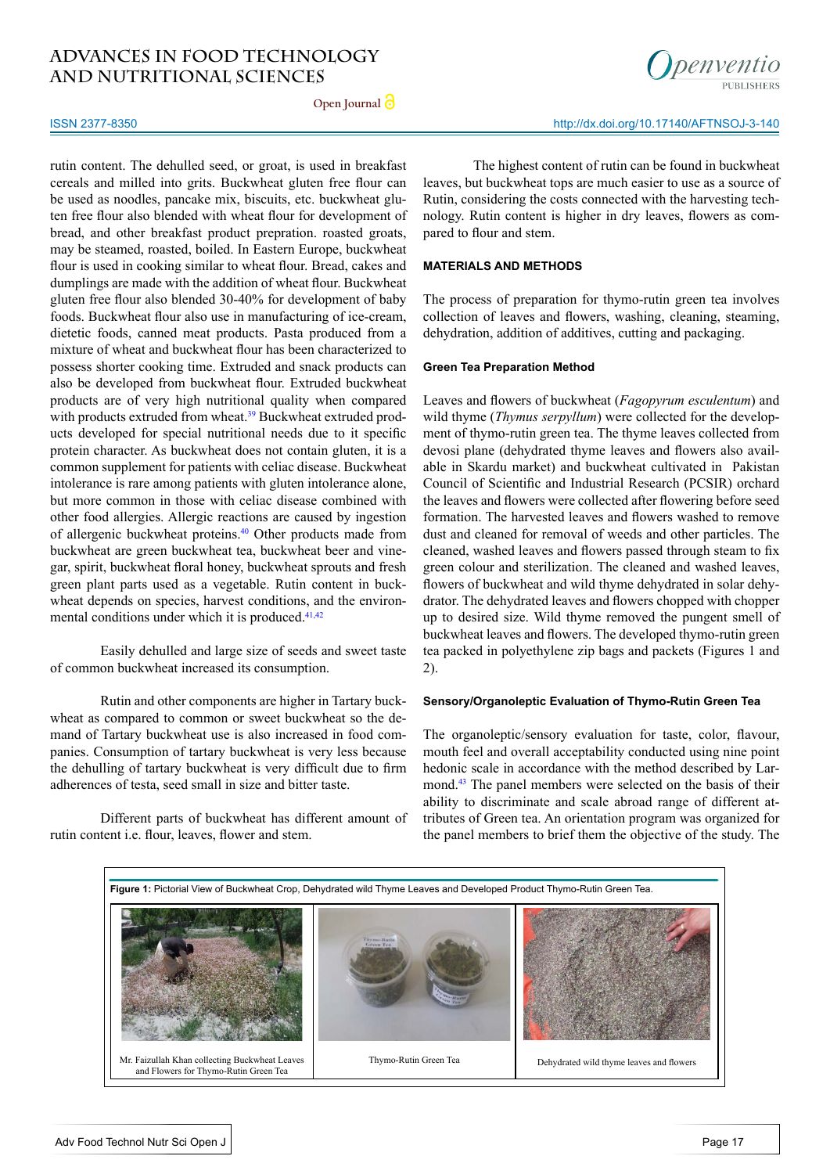**Open Journal**



#### ISSN 2377-8350

rutin content. The dehulled seed, or groat, is used in breakfast cereals and milled into grits. Buckwheat gluten free flour can be used as noodles, pancake mix, biscuits, etc. buckwheat gluten free flour also blended with wheat flour for development of bread, and other breakfast product prepration. roasted groats, may be steamed, roasted, boiled. In Eastern Europe, buckwheat flour is used in cooking similar to wheat flour. Bread, cakes and dumplings are made with the addition of wheat flour. Buckwheat gluten free flour also blended 30-40% for development of baby foods. Buckwheat flour also use in manufacturing of ice-cream, dietetic foods, canned meat products. Pasta produced from a mixture of wheat and buckwheat flour has been characterized to possess shorter cooking time. Extruded and snack products can also be developed from buckwheat flour. Extruded buckwheat products are of very high nutritional quality when compared with products extruded from wheat.<sup>39</sup> Buckwheat extruded products developed for special nutritional needs due to it specific protein character. As buckwheat does not contain gluten, it is a common supplement for patients with celiac disease. Buckwheat intolerance is rare among patients with gluten intolerance alone, but more common in those with celiac disease combined with other food allergies. Allergic reactions are caused by ingestion of allergenic buckwheat proteins.[40](#page-6-9) Other products made from buckwheat are green buckwheat tea, buckwheat beer and vinegar, spirit, buckwheat floral honey, buckwheat sprouts and fresh green plant parts used as a vegetable. Rutin content in buckwheat depends on species, harvest conditions, and the environmental conditions under which it is produced.<sup>41,42</sup>

Easily dehulled and large size of seeds and sweet taste of common buckwheat increased its consumption.

Rutin and other components are higher in Tartary buckwheat as compared to common or sweet buckwheat so the demand of Tartary buckwheat use is also increased in food companies. Consumption of tartary buckwheat is very less because the dehulling of tartary buckwheat is very difficult due to firm adherences of testa, seed small in size and bitter taste.

Different parts of buckwheat has different amount of rutin content i.e. flour, leaves, flower and stem.

The highest content of rutin can be found in buckwheat leaves, but buckwheat tops are much easier to use as a source of Rutin, considering the costs connected with the harvesting technology. Rutin content is higher in dry leaves, flowers as compared to flour and stem.

#### **MATERIALS AND METHODS**

The process of preparation for thymo-rutin green tea involves collection of leaves and flowers, washing, cleaning, steaming, dehydration, addition of additives, cutting and packaging.

#### **Green Tea Preparation Method**

Leaves and flowers of buckwheat (*Fagopyrum esculentum*) and wild thyme (*Thymus serpyllum*) were collected for the development of thymo-rutin green tea. The thyme leaves collected from devosi plane (dehydrated thyme leaves and flowers also available in Skardu market) and buckwheat cultivated in Pakistan Council of Scientific and Industrial Research (PCSIR) orchard the leaves and flowers were collected after flowering before seed formation. The harvested leaves and flowers washed to remove dust and cleaned for removal of weeds and other particles. The cleaned, washed leaves and flowers passed through steam to fix green colour and sterilization. The cleaned and washed leaves, flowers of buckwheat and wild thyme dehydrated in solar dehydrator. The dehydrated leaves and flowers chopped with chopper up to desired size. Wild thyme removed the pungent smell of buckwheat leaves and flowers. The developed thymo-rutin green tea packed in polyethylene zip bags and packets (Figures 1 and 2).

#### **Sensory/Organoleptic Evaluation of Thymo-Rutin Green Tea**

The organoleptic/sensory evaluation for taste, color, flavour, mouth feel and overall acceptability conducted using nine point hedonic scale in accordance with the method described by Larmond.[43](#page-6-11) The panel members were selected on the basis of their ability to discriminate and scale abroad range of different attributes of Green tea. An orientation program was organized for the panel members to brief them the objective of the study. The

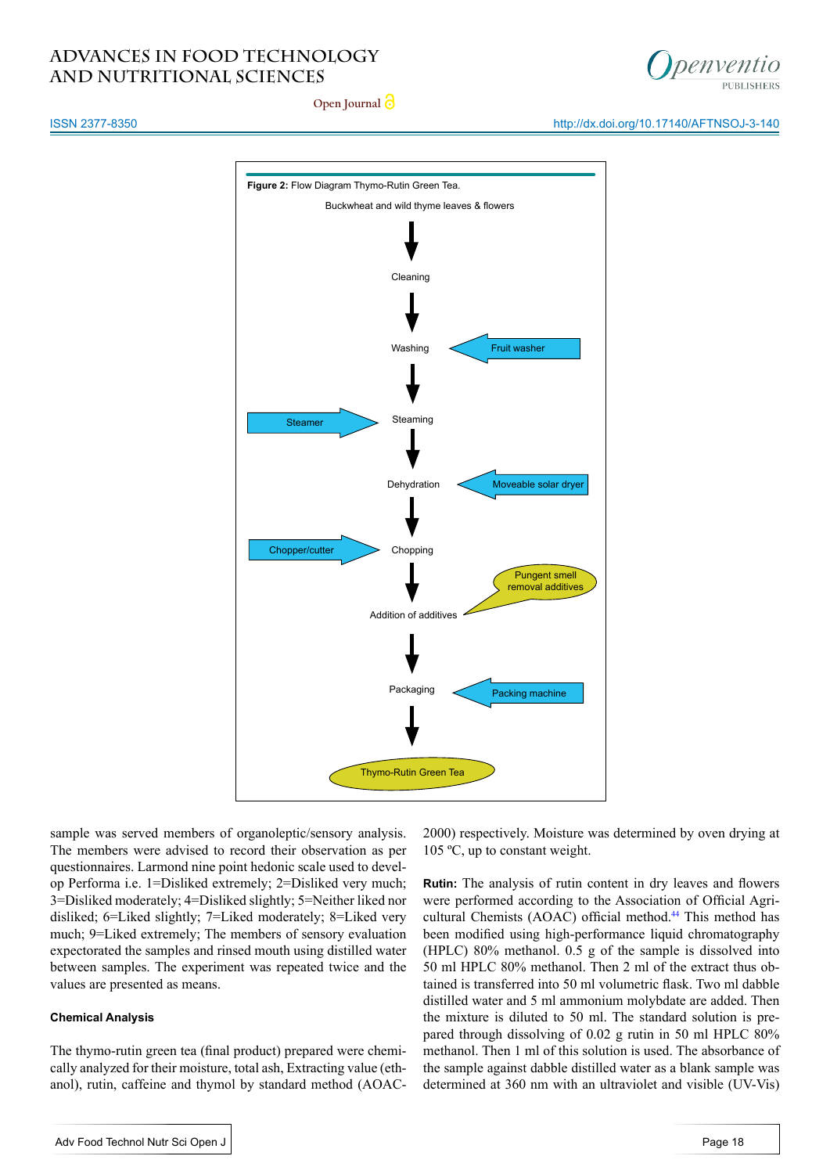

http://dx.doi.org/10.17140/AFTNSOJ-3-140

**Open Journal**

### ISSN 2377-8350



sample was served members of organoleptic/sensory analysis. The members were advised to record their observation as per questionnaires. Larmond nine point hedonic scale used to develop Performa i.e. 1=Disliked extremely; 2=Disliked very much; 3=Disliked moderately; 4=Disliked slightly; 5=Neither liked nor disliked; 6=Liked slightly; 7=Liked moderately; 8=Liked very much; 9=Liked extremely; The members of sensory evaluation expectorated the samples and rinsed mouth using distilled water between samples. The experiment was repeated twice and the values are presented as means.

## **Chemical Analysis**

The thymo-rutin green tea (final product) prepared were chemically analyzed for their moisture, total ash, Extracting value (ethanol), rutin, caffeine and thymol by standard method (AOAC- 2000) respectively. Moisture was determined by oven drying at 105 ºC, up to constant weight.

**Rutin:** The analysis of rutin content in dry leaves and flowers were performed according to the Association of Official Agri-cultural Chemists (AOAC) official method.<sup>[44](#page-6-12)</sup> This method has been modified using high-performance liquid chromatography (HPLC) 80% methanol. 0.5 g of the sample is dissolved into 50 ml HPLC 80% methanol. Then 2 ml of the extract thus obtained is transferred into 50 ml volumetric flask. Two ml dabble distilled water and 5 ml ammonium molybdate are added. Then the mixture is diluted to 50 ml. The standard solution is prepared through dissolving of 0.02 g rutin in 50 ml HPLC 80% methanol. Then 1 ml of this solution is used. The absorbance of the sample against dabble distilled water as a blank sample was determined at 360 nm with an ultraviolet and visible (UV-Vis)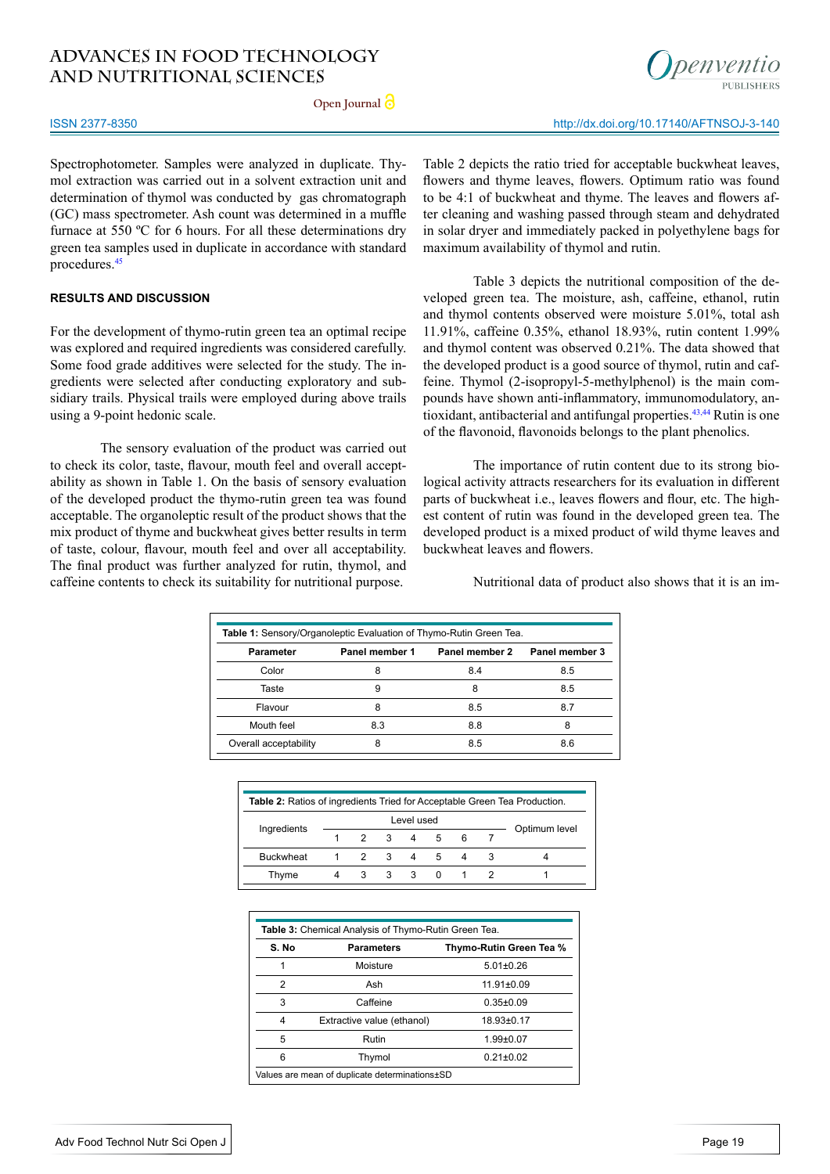**Open Journal**

#### ISSN 2377-8350

Spectrophotometer. Samples were analyzed in duplicate. Thymol extraction was carried out in a solvent extraction unit and determination of thymol was conducted by gas chromatograph (GC) mass spectrometer. Ash count was determined in a muffle furnace at 550 ºC for 6 hours. For all these determinations dry green tea samples used in duplicate in accordance with standard procedures[.45](#page-6-13)

## **RESULTS AND DISCUSSION**

For the development of thymo-rutin green tea an optimal recipe was explored and required ingredients was considered carefully. Some food grade additives were selected for the study. The ingredients were selected after conducting exploratory and subsidiary trails. Physical trails were employed during above trails using a 9-point hedonic scale.

The sensory evaluation of the product was carried out to check its color, taste, flavour, mouth feel and overall acceptability as shown in Table 1. On the basis of sensory evaluation of the developed product the thymo-rutin green tea was found acceptable. The organoleptic result of the product shows that the mix product of thyme and buckwheat gives better results in term of taste, colour, flavour, mouth feel and over all acceptability. The final product was further analyzed for rutin, thymol, and caffeine contents to check its suitability for nutritional purpose.

Table 2 depicts the ratio tried for acceptable buckwheat leaves, flowers and thyme leaves, flowers. Optimum ratio was found to be 4:1 of buckwheat and thyme. The leaves and flowers after cleaning and washing passed through steam and dehydrated in solar dryer and immediately packed in polyethylene bags for maximum availability of thymol and rutin.

Table 3 depicts the nutritional composition of the developed green tea. The moisture, ash, caffeine, ethanol, rutin and thymol contents observed were moisture 5.01%, total ash 11.91%, caffeine 0.35%, ethanol 18.93%, rutin content 1.99% and thymol content was observed 0.21%. The data showed that the developed product is a good source of thymol, rutin and caffeine. Thymol (2-isopropyl-5-methylphenol) is the main compounds have shown anti-inflammatory, immunomodulatory, antioxidant, antibacterial and antifungal properties.<sup>43,44</sup> Rutin is one of the flavonoid, flavonoids belongs to the plant phenolics.

The importance of rutin content due to its strong biological activity attracts researchers for its evaluation in different parts of buckwheat i.e., leaves flowers and flour, etc. The highest content of rutin was found in the developed green tea. The developed product is a mixed product of wild thyme leaves and buckwheat leaves and flowers.

Nutritional data of product also shows that it is an im-

| Table 1: Sensory/Organoleptic Evaluation of Thymo-Rutin Green Tea. |                |                |                |  |  |
|--------------------------------------------------------------------|----------------|----------------|----------------|--|--|
| <b>Parameter</b>                                                   | Panel member 1 | Panel member 2 | Panel member 3 |  |  |
| Color                                                              | 8              | 8.4            | 8.5            |  |  |
| Taste                                                              | 9              | 8              | 8.5            |  |  |
| Flavour                                                            | 8              | 8.5            | 8.7            |  |  |
| Mouth feel                                                         | 8.3            | 8.8            | 8              |  |  |
| Overall acceptability                                              | 8              | 8.5            | 8.6            |  |  |

| <b>Table 2:</b> Ratios of ingredients Tried for Acceptable Green Tea Production. |            |                     |                         |                |             |   |   |               |
|----------------------------------------------------------------------------------|------------|---------------------|-------------------------|----------------|-------------|---|---|---------------|
| Ingredients                                                                      | Level used |                     |                         |                |             |   |   |               |
|                                                                                  |            | $\mathcal{P}$       | $\overline{\mathbf{3}}$ | $\overline{4}$ | 5           | 6 |   | Optimum level |
| <b>Buckwheat</b>                                                                 |            | $1 \quad 2 \quad 3$ |                         | 4              | $5^{\circ}$ | 4 | 3 |               |
| Thyme                                                                            |            | 3                   | 3                       | 3              | $\Omega$    |   |   |               |
|                                                                                  |            |                     |                         |                |             |   |   |               |

| S. No          | <b>Parameters</b>          | Thymo-Rutin Green Tea % |
|----------------|----------------------------|-------------------------|
|                | Moisture                   | $5.01 \pm 0.26$         |
| $\overline{2}$ | Ash                        | $11.91 \pm 0.09$        |
| 3              | Caffeine                   | $0.35 \pm 0.09$         |
| 4              | Extractive value (ethanol) | 18.93±0.17              |
| 5              | Rutin                      | $1.99 + 0.07$           |
| 6              | Thymol                     | $0.21 \pm 0.02$         |



http://dx.doi.org/10.17140/AFTNSOJ-3-140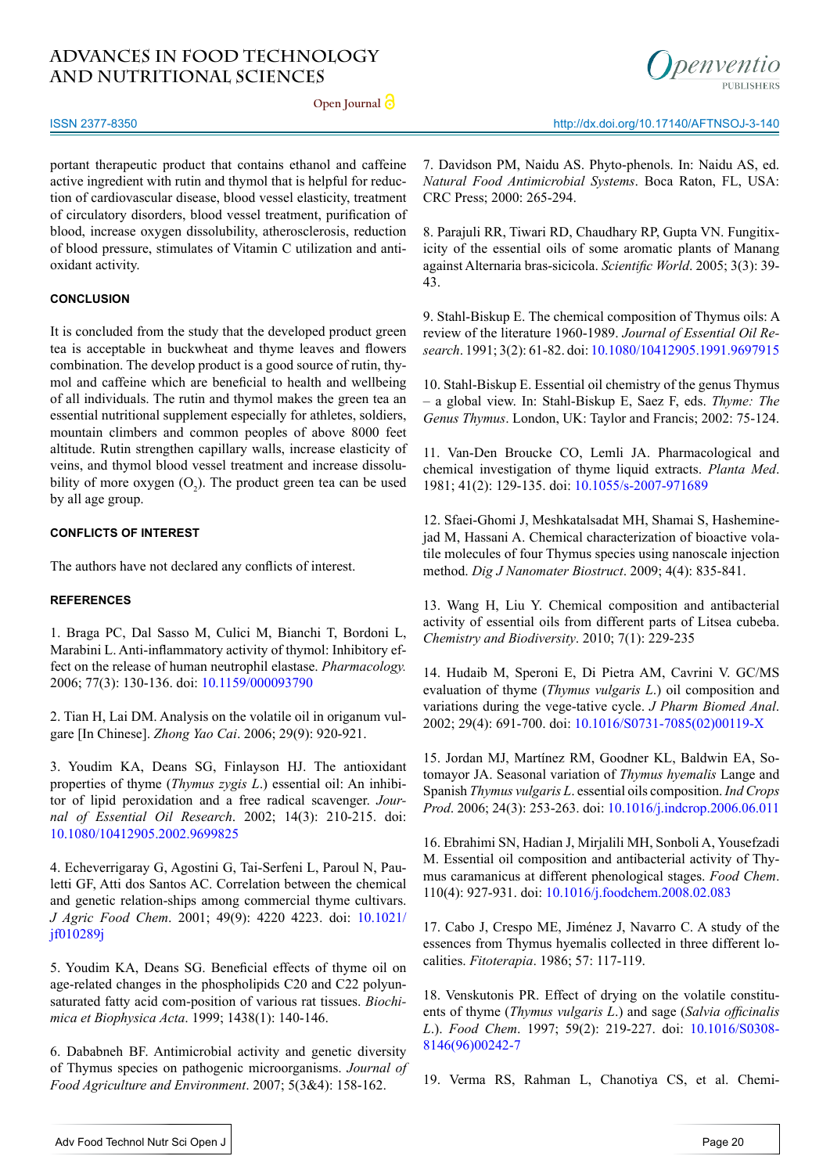**Open Journal**



ISSN 2377-8350

portant therapeutic product that contains ethanol and caffeine active ingredient with rutin and thymol that is helpful for reduction of cardiovascular disease, blood vessel elasticity, treatment of circulatory disorders, blood vessel treatment, purification of blood, increase oxygen dissolubility, atherosclerosis, reduction of blood pressure, stimulates of Vitamin C utilization and antioxidant activity.

### **CONCLUSION**

It is concluded from the study that the developed product green tea is acceptable in buckwheat and thyme leaves and flowers combination. The develop product is a good source of rutin, thymol and caffeine which are beneficial to health and wellbeing of all individuals. The rutin and thymol makes the green tea an essential nutritional supplement especially for athletes, soldiers, mountain climbers and common peoples of above 8000 feet altitude. Rutin strengthen capillary walls, increase elasticity of veins, and thymol blood vessel treatment and increase dissolubility of more oxygen  $(O_2)$ . The product green tea can be used by all age group.

#### **CONFLICTS OF INTEREST**

The authors have not declared any conflicts of interest.

#### **REFERENCES**

<span id="page-5-0"></span>1. Braga PC, Dal Sasso M, Culici M, Bianchi T, Bordoni L, Marabini L. Anti-inflammatory activity of thymol: Inhibitory effect on the release of human neutrophil elastase. *Pharmacology.* 2006; 77(3): 130-136. doi: [10.1159/000093790](https://doi.org/10.1159/000093790)

2. Tian H, Lai DM. Analysis on the volatile oil in origanum vulgare [In Chinese]. *Zhong Yao Cai*. 2006; 29(9): 920-921.

<span id="page-5-1"></span>3. Youdim KA, Deans SG, Finlayson HJ. The antioxidant properties of thyme (*Thymus zygis L*.) essential oil: An inhibitor of lipid peroxidation and a free radical scavenger. *Journal of Essential Oil Research*. 2002; 14(3): 210-215. doi: [10.1080/10412905.2002.9699825](http://dx.doi.org/10.1080/10412905.2002.9699825)

<span id="page-5-2"></span>4. Echeverrigaray G, Agostini G, Tai-Serfeni L, Paroul N, Pauletti GF, Atti dos Santos AC. Correlation between the chemical and genetic relation-ships among commercial thyme cultivars. *J Agric Food Chem*. 2001; 49(9): 4220 4223. doi: [10.1021/](http://pubs.acs.org/doi/abs/10.1021/jf010289j) [jf010289j](http://pubs.acs.org/doi/abs/10.1021/jf010289j)

<span id="page-5-3"></span>5. Youdim KA, Deans SG. Beneficial effects of thyme oil on age-related changes in the phospholipids C20 and C22 polyunsaturated fatty acid com-position of various rat tissues. *Biochimica et Biophysica Acta*. 1999; 1438(1): 140-146.

<span id="page-5-4"></span>6. Dababneh BF. Antimicrobial activity and genetic diversity of Thymus species on pathogenic microorganisms. *Journal of Food Agriculture and Environment*. 2007; 5(3&4): 158-162.

7. Davidson PM, Naidu AS. Phyto-phenols. In: Naidu AS, ed. *Natural Food Antimicrobial Systems*. Boca Raton, FL, USA: CRC Press; 2000: 265-294.

8. Parajuli RR, Tiwari RD, Chaudhary RP, Gupta VN. Fungitixicity of the essential oils of some aromatic plants of Manang against Alternaria bras-sicicola. *Scientific World*. 2005; 3(3): 39- 43.

9. Stahl-Biskup E. The chemical composition of Thymus oils: A review of the literature 1960-1989. *Journal of Essential Oil Research*. 1991; 3(2): 61-82. doi: [10.1080/10412905.1991.9697915](http://dx.doi.org/10.1080/10412905.1991.9697915)

10. Stahl-Biskup E. Essential oil chemistry of the genus Thymus – a global view. In: Stahl-Biskup E, Saez F, eds. *Thyme: The Genus Thymus*. London, UK: Taylor and Francis; 2002: 75-124.

<span id="page-5-5"></span>11. Van-Den Broucke CO, Lemli JA. Pharmacological and chemical investigation of thyme liquid extracts. *Planta Med*. 1981; 41(2): 129-135. doi: [10.1055/s-2007-971689](https://www.thieme-connect.com/DOI/DOI%3F10.1055/s-2007-971689)

<span id="page-5-6"></span>12. Sfaei-Ghomi J, Meshkatalsadat MH, Shamai S, Hasheminejad M, Hassani A. Chemical characterization of bioactive volatile molecules of four Thymus species using nanoscale injection method. *Dig J Nanomater Biostruct*. 2009; 4(4): 835-841.

13. Wang H, Liu Y. Chemical composition and antibacterial activity of essential oils from different parts of Litsea cubeba. *Chemistry and Biodiversity*. 2010; 7(1): 229-235

<span id="page-5-7"></span>14. Hudaib M, Speroni E, Di Pietra AM, Cavrini V. GC/MS evaluation of thyme (*Thymus vulgaris L*.) oil composition and variations during the vege-tative cycle. *J Pharm Biomed Anal*. 2002; 29(4): 691-700. doi: [10.1016/S0731-7085\(02\)00119-X](https://doi.org/10.1016/S0731-7085%2802%2900119-X)

15. Jordan MJ, Martínez RM, Goodner KL, Baldwin EA, Sotomayor JA. Seasonal variation of *Thymus hyemalis* Lange and Spanish *Thymus vulgaris L*. essential oils composition. *Ind Crops Prod*. 2006; 24(3): 253-263. doi: [10.1016/j.indcrop.2006.06.011](https://doi.org/10.1016/j.indcrop.2006.06.011)

16. Ebrahimi SN, Hadian J, Mirjalili MH, Sonboli A, Yousefzadi M. Essential oil composition and antibacterial activity of Thymus caramanicus at different phenological stages. *Food Chem*. 110(4): 927-931. doi: [10.1016/j.foodchem.2008.02.083](https://doi.org/10.1016/j.foodchem.2008.02.083)

<span id="page-5-8"></span>17. Cabo J, Crespo ME, Jiménez J, Navarro C. A study of the essences from Thymus hyemalis collected in three different localities. *Fitoterapia*. 1986; 57: 117-119.

<span id="page-5-9"></span>18. Venskutonis PR. Effect of drying on the volatile constituents of thyme (*Thymus vulgaris L*.) and sage (*Salvia officinalis L*.). *Food Chem*. 1997; 59(2): 219-227. doi: [10.1016/S0308-](https://doi.org/10.1016/S0308-8146%2896%2900242-7) [8146\(96\)00242-7](https://doi.org/10.1016/S0308-8146%2896%2900242-7)

19. Verma RS, Rahman L, Chanotiya CS, et al. Chemi-